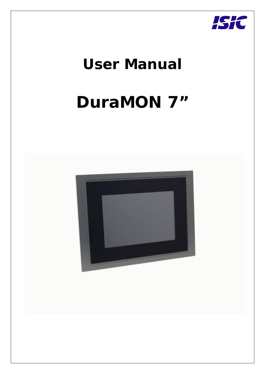

# **User Manual**

# **DuraMON 7"**

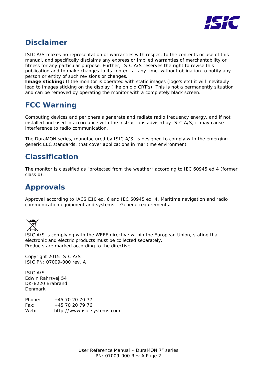

### **Disclaimer**

ISIC A/S makes no representation or warranties with respect to the contents or use of this manual, and specifically disclaims any express or implied warranties of merchantability or fitness for any particular purpose. Further, ISIC A/S reserves the right to revise this publication and to make changes to its content at any time, without obligation to notify any person or entity of such revisions or changes.

**Image sticking:** If the monitor is operated with static images (logo's etc) it will inevitably lead to images sticking on the display (like on old CRT's). This is not a permanently situation and can be removed by operating the monitor with a completely black screen.

### **FCC Warning**

Computing devices and peripherals generate and radiate radio frequency energy, and if not installed and used in accordance with the instructions advised by ISIC A/S, it may cause interference to radio communication.

The DuraMON series, manufactured by ISIC A/S, is designed to comply with the emerging generic EEC standards, that cover applications in maritime environment.

### **Classification**

The monitor is classified as "protected from the weather" according to IEC 60945 ed.4 (former class b).

### **Approvals**

Approval according to IACS E10 ed. 6 and IEC 60945 ed. 4, Maritime navigation and radio communication equipment and systems – General requirements.



ISIC A/S is complying with the WEEE directive within the European Union, stating that electronic and electric products must be collected separately. Products are marked according to the directive.

Copyright 2015 ISIC A/S ISIC PN: 07009-000 rev. A

ISIC A/S Edwin Rahrsvej 54 DK-8220 Brabrand Denmark

Phone: +45 70 20 70 77 Fax: +45 70 20 79 76 Web: [http://www.isic-systems.com](http://www.isic-systems.com/)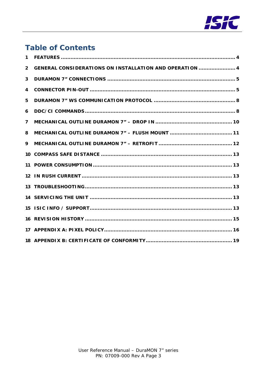

### **Table of Contents**

| $\mathbf{1}$   |                                                         |
|----------------|---------------------------------------------------------|
| $\overline{2}$ | GENERAL CONSIDERATIONS ON INSTALLATION AND OPERATION  4 |
| 3              |                                                         |
| 4              |                                                         |
| 5              |                                                         |
| 6              |                                                         |
| $\overline{7}$ |                                                         |
| 8              |                                                         |
| 9              |                                                         |
|                |                                                         |
|                |                                                         |
|                |                                                         |
|                |                                                         |
|                |                                                         |
|                |                                                         |
|                |                                                         |
|                |                                                         |
|                |                                                         |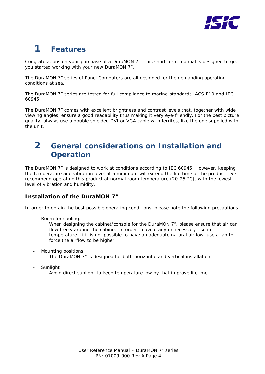

# <span id="page-3-0"></span>**1 Features**

Congratulations on your purchase of a DuraMON 7". This short form manual is designed to get you started working with your new DuraMON 7".

The DuraMON 7" series of Panel Computers are all designed for the demanding operating conditions at sea.

The DuraMON 7" series are tested for full compliance to marine-standards IACS E10 and IEC 60945.

The DuraMON 7" comes with excellent brightness and contrast levels that, together with wide viewing angles, ensure a good readability thus making it very eye-friendly. For the best picture quality, always use a double shielded DVI or VGA cable with ferrites, like the one supplied with the unit.

### <span id="page-3-1"></span>**2 General considerations on Installation and Operation**

The DuraMON 7" is designed to work at conditions according to IEC 60945. However, keeping the temperature and vibration level at a minimum will extend the life time of the product. ISIC recommend operating this product at normal room temperature (20-25 °C), with the lowest level of vibration and humidity.

#### **Installation of the DuraMON 7"**

In order to obtain the best possible operating conditions, please note the following precautions.

Room for cooling.

When designing the cabinet/console for the DuraMON 7", please ensure that air can flow freely around the cabinet, in order to avoid any unnecessary rise in temperature. If it is not possible to have an adequate natural airflow, use a fan to force the airflow to be higher.

- Mounting positions The DuraMON 7" is designed for both horizontal and vertical installation.
- **Sunlight** 
	- Avoid direct sunlight to keep temperature low by that improve lifetime.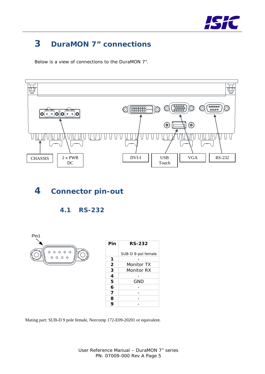

# <span id="page-4-0"></span>**3 DuraMON 7" connections**

Below is a view of connections to the DuraMON 7".



### <span id="page-4-1"></span>**4 Connector pin-out**





| Pin         | <b>RS-232</b>      |  |  |  |  |  |  |  |
|-------------|--------------------|--|--|--|--|--|--|--|
|             | SUB-D 9-pol female |  |  |  |  |  |  |  |
| 1           |                    |  |  |  |  |  |  |  |
| $\mathbf 2$ | Monitor TX         |  |  |  |  |  |  |  |
| 3           | Monitor RX         |  |  |  |  |  |  |  |
| 4           |                    |  |  |  |  |  |  |  |
| 5           | GND                |  |  |  |  |  |  |  |
| 6           |                    |  |  |  |  |  |  |  |
| 7           |                    |  |  |  |  |  |  |  |
| 8           |                    |  |  |  |  |  |  |  |
| Q           |                    |  |  |  |  |  |  |  |

Mating part: SUB-D 9 pole female, Norcomp 172-E09-20201 or equivalent.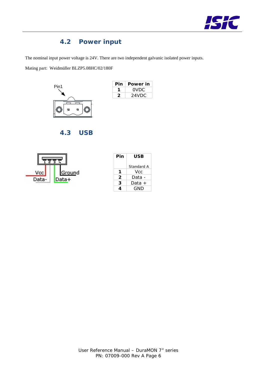

#### **4.2 Power input**

The nominal input power voltage is 24V. There are two independent galvanic isolated power inputs.

Mating part: [Weidmüller](http://www.luconda.com/27/Elektroinstallationsanlage-geraet-14/Elektroinstallationsanlage-geraet-Instandsetzung-99-01-Seite-1264.html) BLZP5.08HC/02/180F



| Pin | Power in |
|-----|----------|
|     | OVDC.    |
| ン   | 24VDC    |

**4.3 USB**



| Pin | USB        |  |  |  |
|-----|------------|--|--|--|
|     |            |  |  |  |
|     | Standard A |  |  |  |
| 1   | Vcc.       |  |  |  |
| 2   | Data -     |  |  |  |
| 3   | Data +     |  |  |  |
|     | GND        |  |  |  |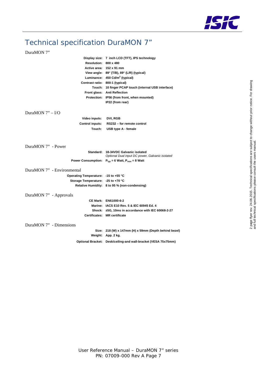

### Technical specification DuraMON 7"

#### DuraMON 7"

|                                      | Display size: 7 inch LCD (TFT), IPS technology                          |
|--------------------------------------|-------------------------------------------------------------------------|
| Resolution: 800 x 480                |                                                                         |
|                                      | Active area: 152 x 91 mm                                                |
|                                      | View angle: 89° (T/B), 89° (L/R) (typical)                              |
|                                      | Luminance: 450 Cd/m <sup>2</sup> (typical)                              |
| Contrast ratio: 800:1 (typical)      |                                                                         |
|                                      | Touch: 10 finger PCAP touch (internal USB interface)                    |
|                                      | Front glass: Anti Reflection                                            |
|                                      | Protection: IP56 (from front, when mounted)                             |
|                                      | IP22 (from rear)                                                        |
| DuraMON $7" - I/O$                   |                                                                         |
| Video inputs:                        | DVI, RGB                                                                |
| <b>Control inputs:</b>               | RS232 - for remote control                                              |
| Touch:                               | USB type A - female                                                     |
|                                      |                                                                         |
|                                      |                                                                         |
| DuraMON 7" - Power                   |                                                                         |
|                                      | Standard: 18-34VDC Galvanic isolated                                    |
|                                      | Optional Dual input DC power, Galvanic isolated                         |
|                                      | Power Consumption: $P_{\text{two}} = 6$ Watt, $P_{\text{max}} = 8$ Watt |
| DuraMON 7" - Environmental           |                                                                         |
| Operating Temperature: -15 to +55 °C |                                                                         |
| Storage Temperature: -25 to +70 °C   |                                                                         |
|                                      | Relative Humidity: 8 to 95 % (non-condensing)                           |
|                                      |                                                                         |
| DuraMON 7" - Approvals               |                                                                         |
|                                      | CE Mark: EN61000-6-2                                                    |
|                                      | Marine: IACS E10 Rev. 5 & IEC 60945 Ed. 4                               |
|                                      | Shock: $\pm$ 5G, 10ms in accordance with IEC 60068-2-27                 |
|                                      | Certificates: MR certificate                                            |
|                                      |                                                                         |
| DuraMON 7" - Dimensions              |                                                                         |
|                                      | Size: 218 (W) x 147mm (H) x 59mm (Depth behind bezel)                   |
|                                      | Weight: App. 2 kg.                                                      |
|                                      | Optional Bracket: Desk/ceiling-and wall-bracket (VESA 75x75mm)          |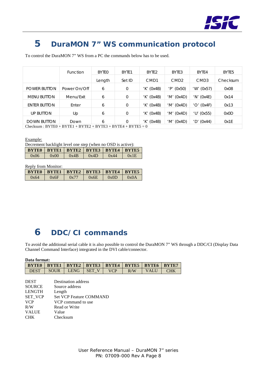

### <span id="page-7-0"></span>**5 DuraMON 7" WS communication protocol**

To control the DuraMON 7" WS from a PC the commands below has to be used.

|                                                               | Function     | <b>BYTEO</b> | BYTE1       | BYTE <sub>2</sub> | BYTE3            | BYTE4                               | BYTE <sub>5</sub> |
|---------------------------------------------------------------|--------------|--------------|-------------|-------------------|------------------|-------------------------------------|-------------------|
|                                                               |              | Length       | Set ID      | CM <sub>D</sub> 1 | CMD <sub>2</sub> | CMD <sub>3</sub>                    | Checksum          |
| <b>POWER BUTTON</b>                                           | Power On/Off | 6            | $\mathbf 0$ | $'K'$ (Ox4B)      | $'P'$ (0x50)     | 'W'<br>(0x57)                       | 0x08              |
| <b>MENU BUTTON</b>                                            | Menu/Exit    | 6            | $\mathbf 0$ | $'K'$ (Ox4B)      | $'M'$ (0x4D)     | $'N'$ (Ox4E)                        | 0x14              |
| ENTER BUTTON                                                  | Enter        | 6            | $\mathbf 0$ | $'K'$ (Ox4B)      | 'M'<br>(0x4D)    | (0x4F)<br>'O'                       | 0x13              |
| <b>UP BUTTON</b>                                              | Up           | 6            | $\mathbf 0$ | $'K'$ (Ox4B)      | 'M' $(0x4D)$     | $'U'$ (0x55)                        | 0x0D              |
| <b>DOWN BUTTON</b>                                            | Down         | 6            | $\Omega$    | $'K'$ (Ox4B)      | (0x4D)<br>'M′    | $^{\prime}$ D $^{\prime}$<br>(0x44) | Ox1E              |
| Checksum: $BYTE0 + BYTE1 + BYTE2 + BYTE3 + BYTE4 + BYTE5 = 0$ |              |              |             |                   |                  |                                     |                   |

Example:

|  |  | Decrement backlight level one step (when no OSD is active): |  |
|--|--|-------------------------------------------------------------|--|
|  |  |                                                             |  |

|      |      |              |      | BYTEO   BYTE1   BYTE2   BYTE3   BYTE4   BYTE5 |      |
|------|------|--------------|------|-----------------------------------------------|------|
| 0x06 | 0x00 | $\vert$ 0x4B | 0x4D | 0x44                                          | 0x1E |
|      |      |              |      |                                               |      |

Reply from Monitor:

| BYTEO   BYTE1   BYTE2   BYTE3   BYTE4   BYTE5 |      |      |      |      |          |
|-----------------------------------------------|------|------|------|------|----------|
| 0x64                                          | 0x6F | 0x77 | 0x6E | 0x0D | $\alpha$ |

# <span id="page-7-1"></span>**6 DDC/CI commands**

To avoid the additional serial cable it is also possible to control the DuraMON 7" WS through a DDC/CI (Display Data Channel Command Interface) integrated in the DVI cable/connector.

| Data format: |              |                               |            |     |                     |      |              |  |
|--------------|--------------|-------------------------------|------------|-----|---------------------|------|--------------|--|
| <b>BYTEO</b> | <b>BYTE1</b> | $ $ BYTE2 $ $ BYTE3 $ $ BYTE4 |            |     | $ $ BYTE5 $ $ BYTE6 |      | <b>BYTE7</b> |  |
| <b>DEST</b>  | <b>SOUR</b>  | LENG.                         | <b>SET</b> | VCP | R/W                 | VALU | CHK          |  |

| <b>DEST</b>    | Destination address            |
|----------------|--------------------------------|
| <b>SOURCE</b>  | Source address                 |
| <b>LENGTH</b>  | Length                         |
| <b>SET VCP</b> | <b>Set VCP Feature COMMAND</b> |
| <b>VCP</b>     | VCP command to use             |
| R/W            | Read or Write                  |
| <b>VALUE</b>   | Value                          |
| <b>CHK</b>     | Checksum                       |
|                |                                |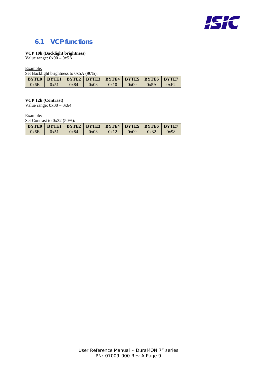

#### **6.1 VCP functions**

#### **VCP 10h (Backlight brightness)**

Value range:  $0x00 - 0x5A$ 

Example:

Set Backlight brightness to 0x5A (90%):

|      |      | <b>BYTEO</b> BYTE1 BYTE2 BYTE3 BYTE4 BYTE5 BYTE6 BYTE7 |      |      |      |      |      |
|------|------|--------------------------------------------------------|------|------|------|------|------|
| 0x6E | 0x51 | 0x84                                                   | 0x03 | 0x10 | 0x00 | 0x5A | 0xF2 |

**VCP 12h (Contrast)**

Value range:  $0x00 - 0x64$ 

Example:

Set Contrast to 0x32 (50%):

| BYTEO   BYTE1   BYTE2   BYTE3   BYTE4   BYTE5   BYTE6   BYTE7 |      |      |      |      |      |      |      |
|---------------------------------------------------------------|------|------|------|------|------|------|------|
| 0x6E                                                          | 0x51 | 0x84 | 0x03 | 0x12 | 0x00 | 0x32 | 0x98 |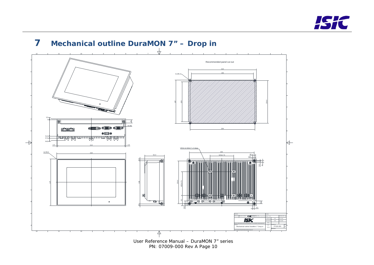

<span id="page-9-0"></span>

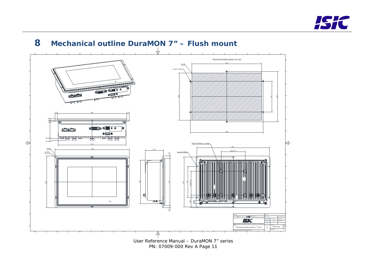

<span id="page-10-0"></span>

**8 Mechanical outline DuraMON 7" – Flush mount**

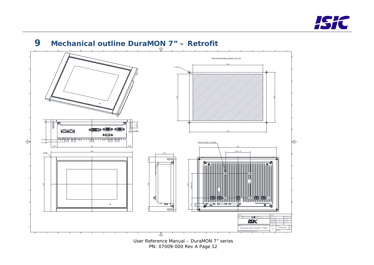

<span id="page-11-0"></span>

# **9 Mechanical outline DuraMON 7" – Retrofit**

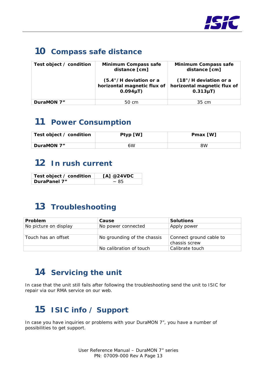

# <span id="page-12-0"></span>**10 Compass safe distance**

| Test object / condition | <b>Minimum Compass safe</b><br>distance [cm]                                       | <b>Minimum Compass safe</b><br>distance [cm]                                    |  |  |
|-------------------------|------------------------------------------------------------------------------------|---------------------------------------------------------------------------------|--|--|
|                         | $(5.4^{\circ}/H)$ deviation or a<br>horizontal magnetic flux of<br>$0.094 \mu T$ ) | $(18^\circ)$ H deviation or a<br>horizontal magnetic flux of<br>$0.313 \mu T$ ) |  |  |
| DuraMON 7"              | 50 cm                                                                              | 35 cm                                                                           |  |  |

### <span id="page-12-1"></span>**11 Power Consumption**

| Test object / condition | Ptyp [W] | Pmax [W] |
|-------------------------|----------|----------|
| DuraMON 7"              | 6W       | 8W       |

## <span id="page-12-2"></span>**12 In rush current**

| Test object / condition | [A] $@24VDC$ |
|-------------------------|--------------|
| DuraPanel 7"            | ~185         |

## <span id="page-12-3"></span>**13 Troubleshooting**

| Problem               | Cause                       | <b>Solutions</b>        |
|-----------------------|-----------------------------|-------------------------|
| No picture on display | No power connected          | Apply power             |
|                       |                             |                         |
| Touch has an offset   | No grounding of the chassis | Connect ground cable to |
|                       |                             | chassis screw           |
|                       | No calibration of touch     | Calibrate touch         |

### <span id="page-12-4"></span>**14 Servicing the unit**

In case that the unit still fails after following the troubleshooting send the unit to ISIC for repair via our RMA service on our web.

# <span id="page-12-5"></span>**15 ISIC info / Support**

In case you have inquiries or problems with your DuraMON 7", you have a number of possibilities to get support.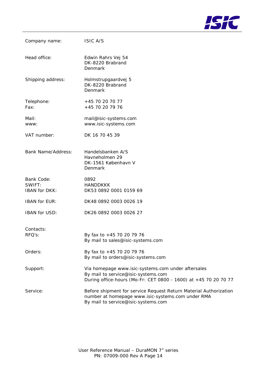

| Company name:                                | <b>ISIC A/S</b>                                                                                                                                               |
|----------------------------------------------|---------------------------------------------------------------------------------------------------------------------------------------------------------------|
| Head office:                                 | Edwin Rahrs Vej 54<br>DK-8220 Brabrand<br>Denmark                                                                                                             |
| Shipping address:                            | Holmstrupgaardvej 5<br>DK-8220 Brabrand<br>Denmark                                                                                                            |
| Telephone:<br>Fax:                           | +45 70 20 70 77<br>+45 70 20 79 76                                                                                                                            |
| Mail:<br>WWW:                                | mail@isic-systems.com<br>www.isic-systems.com                                                                                                                 |
| VAT number:                                  | DK 16 70 45 39                                                                                                                                                |
| <b>Bank Name/Address:</b>                    | Handelsbanken A/S<br>Havneholmen 29<br>DK-1561 København V<br>Denmark                                                                                         |
| Bank Code:<br>SWIFT:<br><b>IBAN</b> for DKK: | 0892<br><b>HANDDKKK</b><br>DK53 0892 0001 0159 69                                                                                                             |
| <b>IBAN for EUR:</b>                         | DK48 0892 0003 0026 19                                                                                                                                        |
| <b>IBAN for USD:</b>                         | DK26 0892 0003 0026 27                                                                                                                                        |
| Contacts:<br>RFQ's:                          | By fax to +45 70 20 79 76<br>By mail to sales@isic-systems.com                                                                                                |
| Orders:                                      | By fax to +45 70 20 79 76<br>By mail to orders@isic-systems.com                                                                                               |
| Support:                                     | Via homepage www.isic-systems.com under aftersales<br>By mail to service@isic-systems.com<br>During office-hours (Mo-Fr: CET 0800 - 1600) at +45 70 20 70 77  |
| Service:                                     | Before shipment for service Request Return Material Authorization<br>number at homepage www.isic-systems.com under RMA<br>By mail to service@isic-systems.com |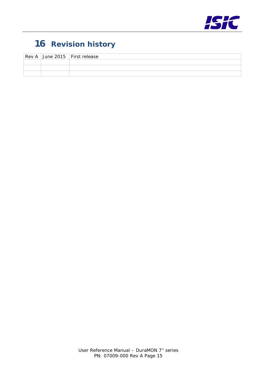

# <span id="page-14-0"></span>**16 Revision history**

|  | Rev A June 2015 First release |
|--|-------------------------------|
|  |                               |
|  |                               |
|  |                               |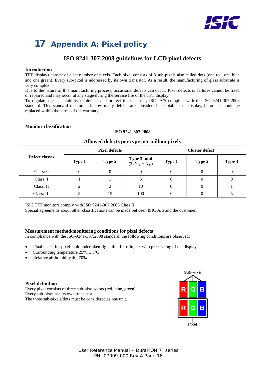

# <span id="page-15-0"></span>**17 Appendix A: Pixel policy**

#### **ISO 9241-307:2008 guidelines for LCD pixel defects**

#### **Introduction**

TFT displays consist of a set number of pixels. Each pixel consists of 3 sub-pixels also called dots (one red, one blue and one green). Every sub-pixel is addressed by its own transistor. As a result, the manufacturing of glass substrate is very complex.

Due to the nature of this manufacturing process, occasional defects can occur. Pixel defects or failures cannot be fixed or repaired and may occur at any stage during the service life of the TFT display.

To regulate the acceptability of defects and protect the end user, ISIC A/S complies with the ISO 9241-307:2008 standard. This standard recommends how many defects are considered acceptable in a display, before it should be replaced within the terms of the warranty.

| Allowed defects per type per million pixels |        |                      |                                              |        |                       |        |  |  |
|---------------------------------------------|--------|----------------------|----------------------------------------------|--------|-----------------------|--------|--|--|
|                                             |        | <b>Pixel defects</b> |                                              |        | <b>Cluster defect</b> |        |  |  |
| Defect classes                              | Type 1 | Type 2               | <b>Type 3 total</b><br>$(2xN_{3a} + N_{3b})$ | Type 1 | Type 2                | Type 3 |  |  |
| Class: 0                                    | 0      |                      |                                              |        |                       |        |  |  |
| Class: I                                    |        |                      |                                              | 0      | O                     |        |  |  |
| Class: II                                   |        |                      | 10                                           |        |                       |        |  |  |
| Class: III                                  |        | 15                   | 100                                          |        |                       |        |  |  |

#### **Monitor classification**

#### **ISO 9241-307:2008**

ISIC TFT monitors comply with ISO 9241-307:2008 Class II.

Special agreements about other classifications can be made between ISIC A/S and the customer.

#### **Measurement method/monitoring conditions for pixel defects**

In compliance with the ISO-9241-307:2008 standard, the following conditions are observed:

- Final check for pixel fault undertaken right after burn-in, i.e. with pre-heating of the display.
- Surrounding temperature  $25^{\circ}C \pm 5^{\circ}C$
- Relative air humidity 40–70%

#### **Pixel definition**

Every pixel consists of three sub-pixels/dots (red, blue, green). Every sub-pixel has its own transistor. The three sub-pixels/dots must be considered as one unit.

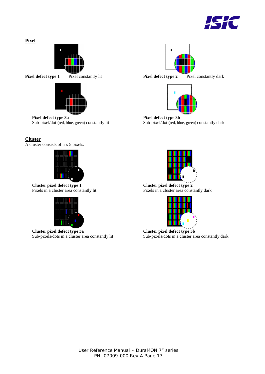

#### **Pixel**





**Pixel defect type 1** Pixel constantly lit **Pixel defect type 2** Pixel constantly dark



**Pixel defect type 3a Pixel defect type 3b**<br>Sub-pixel/dot (red, blue, green) constantly lit Sub-pixel/dot (red, blue, and the sub-pixel/dot (red, blue, and the sub-pixel/dot (red, blue, and the sub-pixel/dot (red, blue, Sub-pixel/dot (red, blue, green) constantly dark

#### **Cluster**

A cluster consists of 5 x 5 pixels.



**Cluster pixel defect type 1 Cluster pixel defect type 2**



**Cluster pixel defect type 3a**<br> **Cluster pixel defect type 3b**<br>
Sub-pixels/dots in a cluster area constantly lit<br>
Sub-pixels/dots in a cluster area



Pixels in a cluster area constantly lit Pixels in a cluster area constantly dark



Sub-pixels/dots in a cluster area constantly dark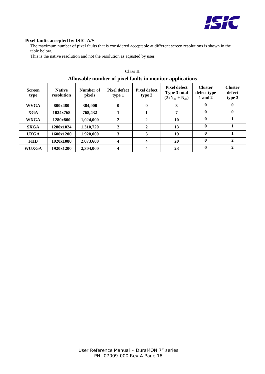

#### **Pixel faults accepted by ISIC A/S**

The maximum number of pixel faults that is considered acceptable at different screen resolutions is shown in the table below.

This is the native resolution and not the resolution as adjusted by user.

|                       | <b>Class II</b>                                          |                     |                               |                               |                                                                     |                                          |                                    |  |  |
|-----------------------|----------------------------------------------------------|---------------------|-------------------------------|-------------------------------|---------------------------------------------------------------------|------------------------------------------|------------------------------------|--|--|
|                       | Allowable number of pixel faults in monitor applications |                     |                               |                               |                                                                     |                                          |                                    |  |  |
| <b>Screen</b><br>type | <b>Native</b><br>resolution                              | Number of<br>pixels | <b>Pixel defect</b><br>type 1 | <b>Pixel defect</b><br>type 2 | <b>Pixel defect</b><br><b>Type 3 total</b><br>$(2xN_{3a} + N_{3b})$ | <b>Cluster</b><br>defect type<br>1 and 2 | <b>Cluster</b><br>defect<br>type 3 |  |  |
| <b>WVGA</b>           | 800x480                                                  | 384,000             | $\mathbf{0}$                  | $\mathbf{0}$                  | 3                                                                   | 0                                        | $\mathbf{0}$                       |  |  |
| XGA                   | 1024x768                                                 | 768,432             |                               |                               | 7                                                                   | 0                                        | $\mathbf{0}$                       |  |  |
| <b>WXGA</b>           | 1280x800                                                 | 1,024,000           | 2                             | $\mathbf{2}$                  | 10                                                                  | 0                                        |                                    |  |  |
| <b>SXGA</b>           | 1280x1024                                                | 1,310,720           | 2                             | 2                             | 13                                                                  | $\mathbf{0}$                             |                                    |  |  |
| <b>UXGA</b>           | 1600x1200                                                | 1,920,000           | 3                             | 3                             | 19                                                                  | $\mathbf{0}$                             |                                    |  |  |
| <b>FHD</b>            | 1920x1080                                                | 2,073,600           | 4                             | 4                             | 20                                                                  | $\mathbf{0}$                             | $\overline{2}$                     |  |  |
| <b>WUXGA</b>          | 1920x1200                                                | 2,304,000           | 4                             | 4                             | 23                                                                  | 0                                        | $\mathbf{2}$                       |  |  |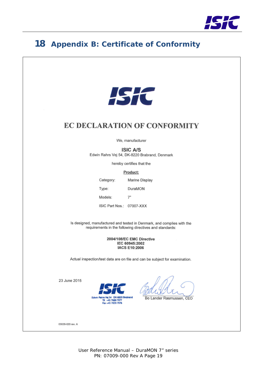

#### <span id="page-18-0"></span>18 **Appendix B: Certificate of Conformity**



### **EC DECLARATION OF CONFORMITY**

We, manufacturer

#### **ISIC A/S**

Edwin Rahrs Vej 54, DK-8220 Brabrand, Denmark

hereby certifies that the

#### Product:

Marine Display Category: Type: DuraMON Models:  $7"$ ISIC Part Nos.: 07007-XXX

Is designed, manufactured and tested in Denmark, and complies with the requirements in the following directives and standards:

> 2004/108/EC EMC Directive IEC 60945:2002 **IACS E10:2006**

Actual inspection/test data are on file and can be subject for examination.

23 June 2015



Bo Lander Rasmussen, CEO

03029-020 rev. A

User Reference Manual - DuraMON 7" series PN: 07009-000 Rev A Page 19